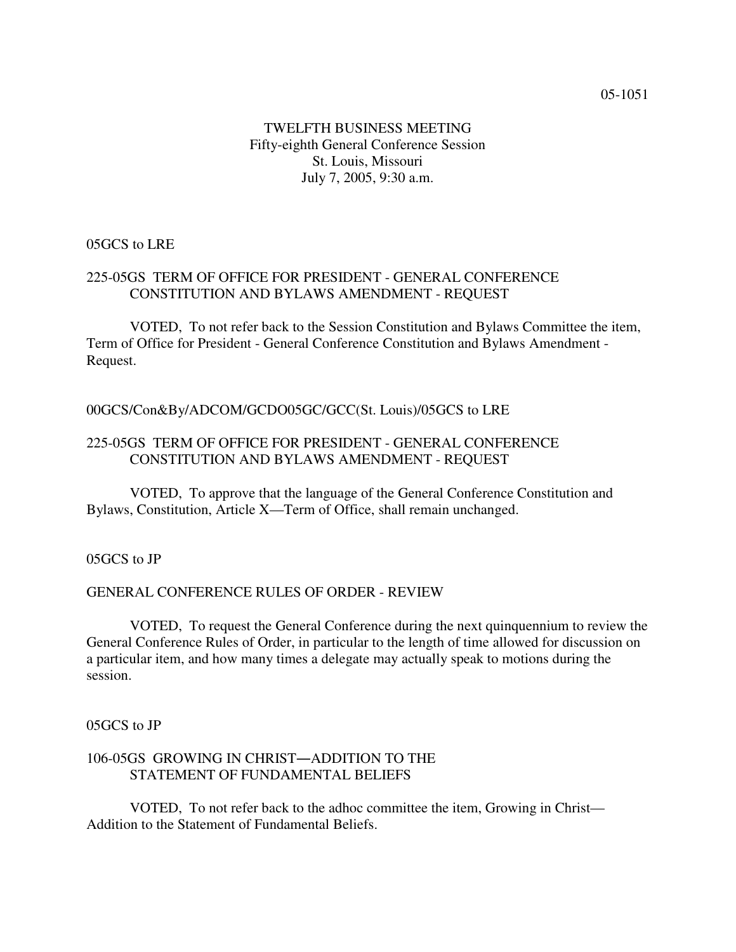## TWELFTH BUSINESS MEETING Fifty-eighth General Conference Session St. Louis, Missouri July 7, 2005, 9:30 a.m.

## 05GCS to LRE

## 225-05GS TERM OF OFFICE FOR PRESIDENT - GENERAL CONFERENCE CONSTITUTION AND BYLAWS AMENDMENT - REQUEST

VOTED, To not refer back to the Session Constitution and Bylaws Committee the item, Term of Office for President - General Conference Constitution and Bylaws Amendment - Request.

#### 00GCS/Con&By/ADCOM/GCDO05GC/GCC(St. Louis)/05GCS to LRE

#### 225-05GS TERM OF OFFICE FOR PRESIDENT - GENERAL CONFERENCE CONSTITUTION AND BYLAWS AMENDMENT - REQUEST

VOTED, To approve that the language of the General Conference Constitution and Bylaws, Constitution, Article X—Term of Office, shall remain unchanged.

05GCS to JP

#### GENERAL CONFERENCE RULES OF ORDER - REVIEW

VOTED, To request the General Conference during the next quinquennium to review the General Conference Rules of Order, in particular to the length of time allowed for discussion on a particular item, and how many times a delegate may actually speak to motions during the session.

05GCS to JP

#### 106-05GS GROWING IN CHRIST-ADDITION TO THE STATEMENT OF FUNDAMENTAL BELIEFS

VOTED, To not refer back to the adhoc committee the item, Growing in Christ— Addition to the Statement of Fundamental Beliefs.